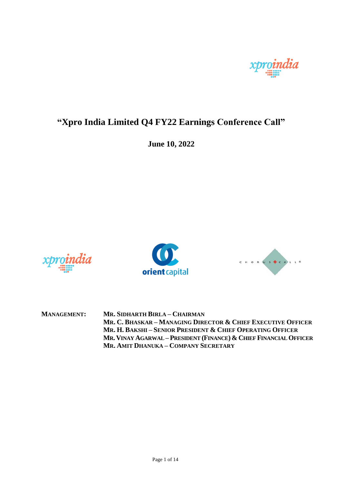

## **"Xpro India Limited Q4 FY22 Earnings Conference Call"**

**June 10, 2022**







**MANAGEMENT: MR. SIDHARTH BIRLA – CHAIRMAN MR. C. BHASKAR – MANAGING DIRECTOR & CHIEF EXECUTIVE OFFICER MR. H. BAKSHI – SENIOR PRESIDENT & CHIEF OPERATING OFFICER MR. VINAY AGARWAL – PRESIDENT (FINANCE) & CHIEF FINANCIAL OFFICER MR. AMIT DHANUKA – COMPANY SECRETARY**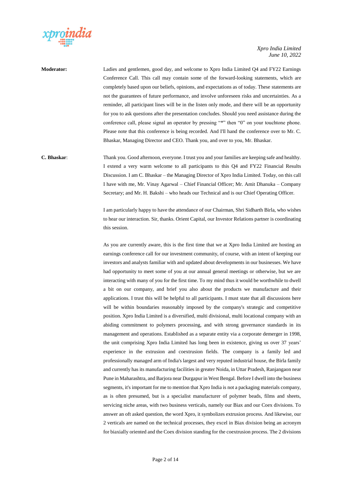

**Moderator:** Ladies and gentlemen, good day, and welcome to Xpro India Limited Q4 and FY22 Earnings Conference Call. This call may contain some of the forward-looking statements, which are completely based upon our beliefs, opinions, and expectations as of today. These statements are not the guarantees of future performance, and involve unforeseen risks and uncertainties. As a reminder, all participant lines will be in the listen only mode, and there will be an opportunity for you to ask questions after the presentation concludes. Should you need assistance during the conference call, please signal an operator by pressing "\*" then "0" on your touchtone phone. Please note that this conference is being recorded. And I'll hand the conference over to Mr. C. Bhaskar, Managing Director and CEO. Thank you, and over to you, Mr. Bhaskar.

**C. Bhaskar**: Thank you. Good afternoon, everyone. I trust you and your families are keeping safe and healthy. I extend a very warm welcome to all participants to this Q4 and FY22 Financial Results Discussion. I am C. Bhaskar – the Managing Director of Xpro India Limited. Today, on this call I have with me, Mr. Vinay Agarwal – Chief Financial Officer; Mr. Amit Dhanuka – Company Secretary; and Mr. H. Bakshi – who heads our Technical and is our Chief Operating Officer.

> I am particularly happy to have the attendance of our Chairman, Shri Sidharth Birla, who wishes to hear our interaction. Sir, thanks. Orient Capital, our Investor Relations partner is coordinating this session.

> As you are currently aware, this is the first time that we at Xpro India Limited are hosting an earnings conference call for our investment community, of course, with an intent of keeping our investors and analysts familiar with and updated about developments in our businesses. We have had opportunity to meet some of you at our annual general meetings or otherwise, but we are interacting with many of you for the first time. To my mind thus it would be worthwhile to dwell a bit on our company, and brief you also about the products we manufacture and their applications. I trust this will be helpful to all participants. I must state that all discussions here will be within boundaries reasonably imposed by the company's strategic and competitive position. Xpro India Limited is a diversified, multi divisional, multi locational company with an abiding commitment to polymers processing, and with strong governance standards in its management and operations. Established as a separate entity via a corporate demerger in 1998, the unit comprising Xpro India Limited has long been in existence, giving us over 37 years' experience in the extrusion and coextrusion fields. The company is a family led and professionally managed arm of India's largest and very reputed industrial house, the Birla family and currently has its manufacturing facilities in greater Noida, in Uttar Pradesh, Ranjangaon near Pune in Maharashtra, and Barjora near Durgapur in West Bengal. Before I dwell into the business segments, it's important for me to mention that Xpro India is not a packaging materials company, as is often presumed, but is a specialist manufacturer of polymer beads, films and sheets, servicing niche areas, with two business verticals, namely our Biax and our Coex divisions. To answer an oft asked question, the word Xpro, it symbolizes extrusion process. And likewise, our 2 verticals are named on the technical processes, they excel in Biax division being an acronym for biaxially oriented and the Coex division standing for the coextrusion process. The 2 divisions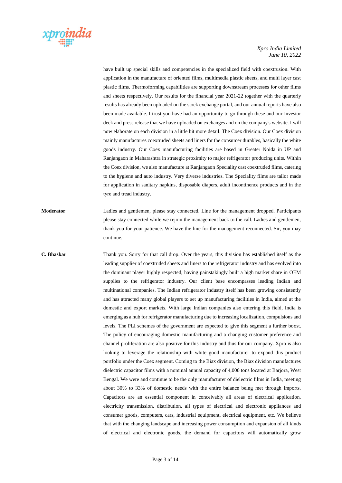

have built up special skills and competencies in the specialized field with coextrusion. With application in the manufacture of oriented films, multimedia plastic sheets, and multi layer cast plastic films. Thermoforming capabilities are supporting downstream processes for other films and sheets respectively. Our results for the financial year 2021-22 together with the quarterly results has already been uploaded on the stock exchange portal, and our annual reports have also been made available. I trust you have had an opportunity to go through these and our Investor deck and press release that we have uploaded on exchanges and on the company's website. I will now elaborate on each division in a little bit more detail. The Coex division. Our Coex division mainly manufactures coextruded sheets and liners for the consumer durables, basically the white goods industry. Our Coex manufacturing facilities are based in Greater Noida in UP and Ranjangaon in Maharashtra in strategic proximity to major refrigerator producing units. Within the Coex division, we also manufacture at Ranjangaon Speciality cast coextruded films, catering to the hygiene and auto industry. Very diverse industries. The Speciality films are tailor made for application in sanitary napkins, disposable diapers, adult incontinence products and in the tyre and tread industry.

**Moderator**: Ladies and gentlemen, please stay connected. Line for the management dropped. Participants please stay connected while we rejoin the management back to the call. Ladies and gentlemen, thank you for your patience. We have the line for the management reconnected. Sir, you may continue.

**C. Bhaskar**: Thank you. Sorry for that call drop. Over the years, this division has established itself as the leading supplier of coextruded sheets and liners to the refrigerator industry and has evolved into the dominant player highly respected, having painstakingly built a high market share in OEM supplies to the refrigerator industry. Our client base encompasses leading Indian and multinational companies. The Indian refrigerator industry itself has been growing consistently and has attracted many global players to set up manufacturing facilities in India, aimed at the domestic and export markets. With large Indian companies also entering this field, India is emerging as a hub for refrigerator manufacturing due to increasing localization, compulsions and levels. The PLI schemes of the government are expected to give this segment a further boost. The policy of encouraging domestic manufacturing and a changing customer preference and channel proliferation are also positive for this industry and thus for our company. Xpro is also looking to leverage the relationship with white good manufacturer to expand this product portfolio under the Coex segment. Coming to the Biax division, the Biax division manufactures dielectric capacitor films with a nominal annual capacity of 4,000 tons located at Barjora, West Bengal. We were and continue to be the only manufacturer of dielectric films in India, meeting about 30% to 33% of domestic needs with the entire balance being met through imports. Capacitors are an essential component in conceivably all areas of electrical application, electricity transmission, distribution, all types of electrical and electronic appliances and consumer goods, computers, cars, industrial equipment, electrical equipment, etc. We believe that with the changing landscape and increasing power consumption and expansion of all kinds of electrical and electronic goods, the demand for capacitors will automatically grow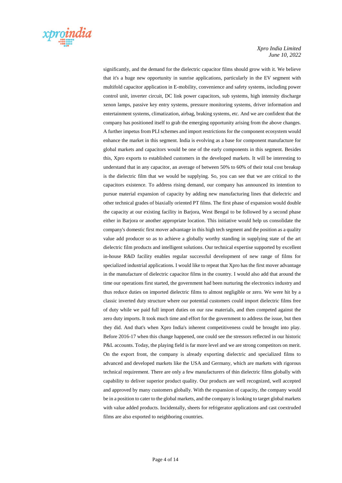

significantly, and the demand for the dielectric capacitor films should grow with it. We believe that it's a huge new opportunity in sunrise applications, particularly in the EV segment with multifold capacitor application in E-mobility, convenience and safety systems, including power control unit, inverter circuit, DC link power capacitors, sub systems, high intensity discharge xenon lamps, passive key entry systems, pressure monitoring systems, driver information and entertainment systems, climatization, airbag, braking systems, etc. And we are confident that the company has positioned itself to grab the emerging opportunity arising from the above changes. A further impetus from PLI schemes and import restrictions for the component ecosystem would enhance the market in this segment. India is evolving as a base for component manufacture for global markets and capacitors would be one of the early components in this segment. Besides this, Xpro exports to established customers in the developed markets. It will be interesting to understand that in any capacitor, an average of between 50% to 60% of their total cost breakup is the dielectric film that we would be supplying. So, you can see that we are critical to the capacitors existence. To address rising demand, our company has announced its intention to pursue material expansion of capacity by adding new manufacturing lines that dielectric and other technical grades of biaxially oriented PT films. The first phase of expansion would double the capacity at our existing facility in Barjora, West Bengal to be followed by a second phase either in Barjora or another appropriate location. This initiative would help us consolidate the company's domestic first mover advantage in this high tech segment and the position as a quality value add producer so as to achieve a globally worthy standing in supplying state of the art dielectric film products and intelligent solutions. Our technical expertise supported by excellent in-house R&D facility enables regular successful development of new range of films for specialized industrial applications. I would like to repeat that Xpro has the first mover advantage in the manufacture of dielectric capacitor films in the country. I would also add that around the time our operations first started, the government had been nurturing the electronics industry and thus reduce duties on imported dielectric films to almost negligible or zero. We were hit by a classic inverted duty structure where our potential customers could import dielectric films free of duty while we paid full import duties on our raw materials, and then competed against the zero duty imports. It took much time and effort for the government to address the issue, but then they did. And that's when Xpro India's inherent competitiveness could be brought into play. Before 2016-17 when this change happened, one could see the stressors reflected in our historic P&L accounts. Today, the playing field is far more level and we are strong competitors on merit. On the export front, the company is already exporting dielectric and specialized films to advanced and developed markets like the USA and Germany, which are markets with rigorous technical requirement. There are only a few manufacturers of thin dielectric films globally with capability to deliver superior product quality. Our products are well recognized, well accepted and approved by many customers globally. With the expansion of capacity, the company would be in a position to cater to the global markets, and the company is looking to target global markets with value added products. Incidentally, sheets for refrigerator applications and cast coextruded films are also exported to neighboring countries.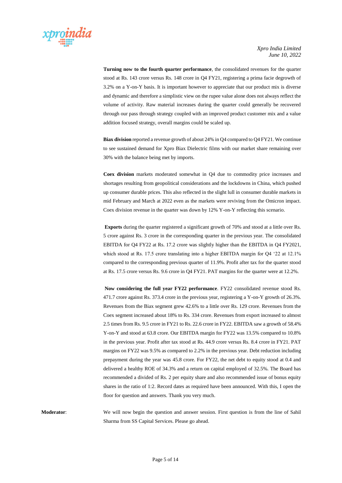

 **Turning now to the fourth quarter performance**, the consolidated revenues for the quarter stood at Rs. 143 crore versus Rs. 148 crore in Q4 FY21, registering a prima facie degrowth of 3.2% on a Y-on-Y basis. It is important however to appreciate that our product mix is diverse and dynamic and therefore a simplistic view on the rupee value alone does not always reflect the volume of activity. Raw material increases during the quarter could generally be recovered through our pass through strategy coupled with an improved product customer mix and a value addition focused strategy, overall margins could be scaled up.

 **Biax division** reported a revenue growth of about 24% in Q4 compared to Q4 FY21. We continue to see sustained demand for Xpro Biax Dielectric films with our market share remaining over 30% with the balance being met by imports.

 **Coex division** markets moderated somewhat in Q4 due to commodity price increases and shortages resulting from geopolitical considerations and the lockdowns in China, which pushed up consumer durable prices. This also reflected in the slight lull in consumer durable markets in mid February and March at 2022 even as the markets were reviving from the Omicron impact. Coex division revenue in the quarter was down by 12% Y-on-Y reflecting this scenario.

 **Exports** during the quarter registered a significant growth of 70% and stood at a little over Rs. 5 crore against Rs. 3 crore in the corresponding quarter in the previous year. The consolidated EBITDA for Q4 FY22 at Rs. 17.2 crore was slightly higher than the EBITDA in Q4 FY2021, which stood at Rs. 17.5 crore translating into a higher EBITDA margin for Q4 '22 at 12.1% compared to the corresponding previous quarter of 11.9%. Profit after tax for the quarter stood at Rs. 17.5 crore versus Rs. 9.6 crore in Q4 FY21. PAT margins for the quarter were at 12.2%.

 **Now considering the full year FY22 performance**. FY22 consolidated revenue stood Rs. 471.7 crore against Rs. 373.4 crore in the previous year, registering a Y-on-Y growth of 26.3%. Revenues from the Biax segment grew 42.6% to a little over Rs. 129 crore. Revenues from the Coex segment increased about 18% to Rs. 334 crore. Revenues from export increased to almost 2.5 times from Rs. 9.5 crore in FY21 to Rs. 22.6 crore in FY22. EBITDA saw a growth of 58.4% Y-on-Y and stood at 63.8 crore. Our EBITDA margin for FY22 was 13.5% compared to 10.8% in the previous year. Profit after tax stood at Rs. 44.9 crore versus Rs. 8.4 crore in FY21. PAT margins on FY22 was 9.5% as compared to 2.2% in the previous year. Debt reduction including prepayment during the year was 45.8 crore. For FY22, the net debt to equity stood at 0.4 and delivered a healthy ROE of 34.3% and a return on capital employed of 32.5%. The Board has recommended a divided of Rs. 2 per equity share and also recommended issue of bonus equity shares in the ratio of 1:2. Record dates as required have been announced. With this, I open the floor for question and answers. Thank you very much.

**Moderator:** We will now begin the question and answer session. First question is from the line of Sahil Sharma from SS Capital Services. Please go ahead.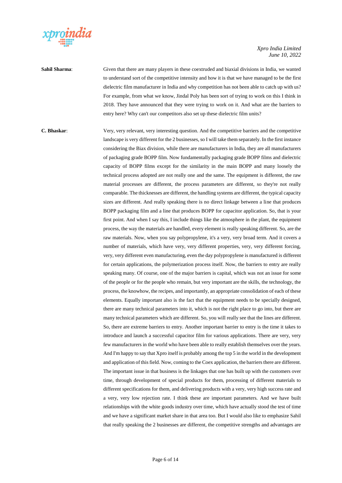

## **Sahil Sharma:** Given that there are many players in these coextruded and biaxial divisions in India, we wanted to understand sort of the competitive intensity and how it is that we have managed to be the first dielectric film manufacturer in India and why competition has not been able to catch up with us? For example, from what we know, Jindal Poly has been sort of trying to work on this I think in 2018. They have announced that they were trying to work on it. And what are the barriers to entry here? Why can't our competitors also set up these dielectric film units?

**C. Bhaskar**: Very, very relevant, very interesting question. And the competitive barriers and the competitive landscape is very different for the 2 businesses, so I will take them separately. In the first instance considering the Biax division, while there are manufacturers in India, they are all manufacturers of packaging grade BOPP film. Now fundamentally packaging grade BOPP films and dielectric capacity of BOPP films except for the similarity in the main BOPP and many loosely the technical process adopted are not really one and the same. The equipment is different, the raw material processes are different, the process parameters are different, so they're not really comparable. The thicknesses are different, the handling systems are different, the typical capacity sizes are different. And really speaking there is no direct linkage between a line that produces BOPP packaging film and a line that produces BOPP for capacitor application. So, that is your first point. And when I say this, I include things like the atmosphere in the plant, the equipment process, the way the materials are handled, every element is really speaking different. So, are the raw materials. Now, when you say polypropylene, it's a very, very broad term. And it covers a number of materials, which have very, very different properties, very, very different forcing, very, very different even manufacturing, even the day polypropylene is manufactured is different for certain applications, the polymerization process itself. Now, the barriers to entry are really speaking many. Of course, one of the major barriers is capital, which was not an issue for some of the people or for the people who remain, but very important are the skills, the technology, the process, the knowhow, the recipes, and importantly, an appropriate consolidation of each of these elements. Equally important also is the fact that the equipment needs to be specially designed, there are many technical parameters into it, which is not the right place to go into, but there are many technical parameters which are different. So, you will really see that the lines are different. So, there are extreme barriers to entry. Another important barrier to entry is the time it takes to introduce and launch a successful capacitor film for various applications. There are very, very few manufacturers in the world who have been able to really establish themselves over the years. And I'm happy to say that Xpro itself is probably among the top 5 in the world in the development and application of this field. Now, coming to the Coex application, the barriers there are different. The important issue in that business is the linkages that one has built up with the customers over time, through development of special products for them, processing of different materials to different specifications for them, and delivering products with a very, very high success rate and a very, very low rejection rate. I think these are important parameters. And we have built relationships with the white goods industry over time, which have actually stood the test of time and we have a significant market share in that area too. But I would also like to emphasize Sahil that really speaking the 2 businesses are different, the competitive strengths and advantages are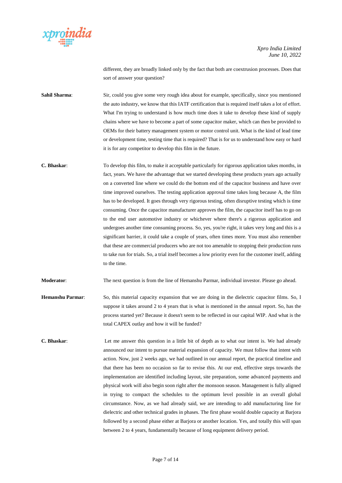

different, they are broadly linked only by the fact that both are coextrusion processes. Does that sort of answer your question?

**Sahil Sharma:** Sir, could you give some very rough idea about for example, specifically, since you mentioned the auto industry, we know that this IATF certification that is required itself takes a lot of effort. What I'm trying to understand is how much time does it take to develop these kind of supply chains where we have to become a part of some capacitor maker, which can then be provided to OEMs for their battery management system or motor control unit. What is the kind of lead time or development time, testing time that is required? That is for us to understand how easy or hard it is for any competitor to develop this film in the future.

**C. Bhaskar**: To develop this film, to make it acceptable particularly for rigorous application takes months, in fact, years. We have the advantage that we started developing these products years ago actually on a converted line where we could do the bottom end of the capacitor business and have over time improved ourselves. The testing application approval time takes long because A, the film has to be developed. It goes through very rigorous testing, often disruptive testing which is time consuming. Once the capacitor manufacturer approves the film, the capacitor itself has to go on to the end user automotive industry or whichever where there's a rigorous application and undergoes another time consuming process. So, yes, you're right, it takes very long and this is a significant barrier, it could take a couple of years, often times more. You must also remember that these are commercial producers who are not too amenable to stopping their production runs to take run for trials. So, a trial itself becomes a low priority even for the customer itself, adding to the time.

**Moderator:** The next question is from the line of Hemanshu Parmar, individual investor. Please go ahead.

- **Hemanshu Parmar**: So, this material capacity expansion that we are doing in the dielectric capacitor films. So, I suppose it takes around 2 to 4 years that is what is mentioned in the annual report. So, has the process started yet? Because it doesn't seem to be reflected in our capital WIP. And what is the total CAPEX outlay and how it will be funded?
- **C. Bhaskar**: Let me answer this question in a little bit of depth as to what our intent is. We had already announced our intent to pursue material expansion of capacity. We must follow that intent with action. Now, just 2 weeks ago, we had outlined in our annual report, the practical timeline and that there has been no occasion so far to revise this. At our end, effective steps towards the implementation are identified including layout, site preparation, some advanced payments and physical work will also begin soon right after the monsoon season. Management is fully aligned in trying to compact the schedules to the optimum level possible in an overall global circumstance. Now, as we had already said, we are intending to add manufacturing line for dielectric and other technical grades in phases. The first phase would double capacity at Barjora followed by a second phase either at Barjora or another location. Yes, and totally this will span between 2 to 4 years, fundamentally because of long equipment delivery period.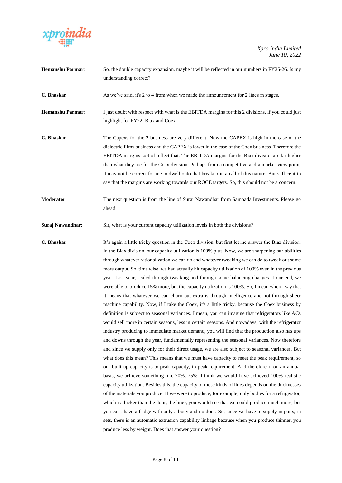

| Hemanshu Parmar:  | So, the double capacity expansion, maybe it will be reflected in our numbers in FY25-26. Is my<br>understanding correct?                                                                                                                                                                                                                                                                                                                                                                                                                                                                                        |
|-------------------|-----------------------------------------------------------------------------------------------------------------------------------------------------------------------------------------------------------------------------------------------------------------------------------------------------------------------------------------------------------------------------------------------------------------------------------------------------------------------------------------------------------------------------------------------------------------------------------------------------------------|
| C. Bhaskar:       | As we've said, it's 2 to 4 from when we made the announcement for 2 lines in stages.                                                                                                                                                                                                                                                                                                                                                                                                                                                                                                                            |
| Hemanshu Parmar:  | I just doubt with respect with what is the EBITDA margins for this 2 divisions, if you could just<br>highlight for FY22, Biax and Coex.                                                                                                                                                                                                                                                                                                                                                                                                                                                                         |
| C. Bhaskar:       | The Capexs for the 2 business are very different. Now the CAPEX is high in the case of the<br>dielectric films business and the CAPEX is lower in the case of the Coex business. Therefore the<br>EBITDA margins sort of reflect that. The EBITDA margins for the Biax division are far higher<br>than what they are for the Coex division. Perhaps from a competitive and a market view point,<br>it may not be correct for me to dwell onto that breakup in a call of this nature. But suffice it to<br>say that the margins are working towards our ROCE targets. So, this should not be a concern.          |
| <b>Moderator:</b> | The next question is from the line of Suraj Nawandhar from Sampada Investments. Please go<br>ahead.                                                                                                                                                                                                                                                                                                                                                                                                                                                                                                             |
| Suraj Nawandhar:  | Sir, what is your current capacity utilization levels in both the divisions?                                                                                                                                                                                                                                                                                                                                                                                                                                                                                                                                    |
| C. Bhaskar:       | It's again a little tricky question in the Coex division, but first let me answer the Biax division.<br>In the Biax division, our capacity utilization is 100% plus. Now, we are sharpening our abilities<br>through whatever rationalization we can do and whatever tweaking we can do to tweak out some<br>more output. So, time wise, we had actually hit capacity utilization of 100% even in the previous<br>year. Last year, scaled through tweaking and through some balancing changes at our end, we<br>were able to produce 15% more, but the capacity utilization is 100%. So, I mean when I say that |

it means that whatever we can churn out extra is through intelligence and not through sheer machine capability. Now, if I take the Coex, it's a little tricky, because the Coex business by definition is subject to seasonal variances. I mean, you can imagine that refrigerators like ACs would sell more in certain seasons, less in certain seasons. And nowadays, with the refrigerator industry producing to immediate market demand, you will find that the production also has ups and downs through the year, fundamentally representing the seasonal variances. Now therefore and since we supply only for their direct usage, we are also subject to seasonal variances. But what does this mean? This means that we must have capacity to meet the peak requirement, so our built up capacity is to peak capacity, to peak requirement. And therefore if on an annual basis, we achieve something like 70%, 75%, I think we would have achieved 100% realistic capacity utilization. Besides this, the capacity of these kinds of lines depends on the thicknesses of the materials you produce. If we were to produce, for example, only bodies for a refrigerator, which is thicker than the door, the liner, you would see that we could produce much more, but you can't have a fridge with only a body and no door. So, since we have to supply in pairs, in sets, there is an automatic extrusion capability linkage because when you produce thinner, you

Page 8 of 14

produce less by weight. Does that answer your question?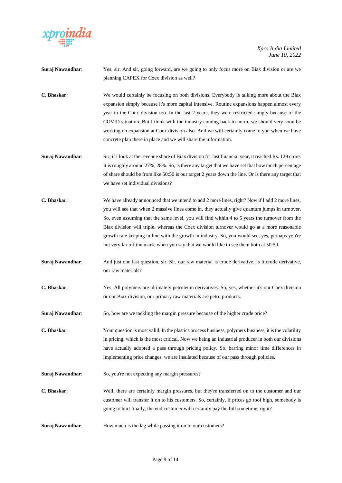

| Suraj Nawandhar: | Yes, sir. And sir, going forward, are we going to only focus more on Biax division or are we<br>planning CAPEX for Coex division as well?                                                                                                                                                                                                                                                                                                                                                                                                                                                     |
|------------------|-----------------------------------------------------------------------------------------------------------------------------------------------------------------------------------------------------------------------------------------------------------------------------------------------------------------------------------------------------------------------------------------------------------------------------------------------------------------------------------------------------------------------------------------------------------------------------------------------|
| C. Bhaskar:      | We would certainly be focusing on both divisions. Everybody is talking more about the Biax<br>expansion simply because it's more capital intensive. Routine expansions happen almost every<br>year in the Coex division too. In the last 2 years, they were restricted simply because of the<br>COVID situation. But I think with the industry coming back to norm, we should very soon be<br>working on expansion at Coex division also. And we will certainly come to you when we have<br>concrete plan there in place and we will share the information.                                   |
| Suraj Nawandhar: | Sir, if I look at the revenue share of Biax division for last financial year, it reached Rs. 129 crore.<br>It is roughly around 27%, 28%. So, is there any target that we have set that how much percentage<br>of share should be from like 50:50 is our target 2 years down the line. Or is there any target that<br>we have set individual divisions?                                                                                                                                                                                                                                       |
| C. Bhaskar:      | We have already announced that we intend to add 2 more lines, right? Now if I add 2 more lines,<br>you will see that when 2 massive lines come in, they actually give quantum jumps in turnover.<br>So, even assuming that the same level, you will find within 4 to 5 years the turnover from the<br>Biax division will triple, whereas the Coex division turnover would go at a more reasonable<br>growth rate keeping in line with the growth in industry. So, you would see, yes, perhaps you're<br>not very far off the mark, when you say that we would like to see them both at 50:50. |
| Suraj Nawandhar: | And just one last question, sir. Sir, our raw material is crude derivative. Is it crude derivative,<br>our raw materials?                                                                                                                                                                                                                                                                                                                                                                                                                                                                     |
| C. Bhaskar:      | Yes. All polymers are ultimately petroleum derivatives. So, yes, whether it's our Coex division<br>or our Biax division, our primary raw materials are petro products.                                                                                                                                                                                                                                                                                                                                                                                                                        |
| Suraj Nawandhar: | So, how are we tackling the margin pressure because of the higher crude price?                                                                                                                                                                                                                                                                                                                                                                                                                                                                                                                |
| C. Bhaskar:      | Your question is most valid. In the plastics process business, polymers business, it is the volatility<br>in pricing, which is the most critical. Now we being an industrial producer in both our divisions<br>have actually adopted a pass through pricing policy. So, barring minor time differences in<br>implementing price changes, we are insulated because of our pass through policies.                                                                                                                                                                                               |
| Suraj Nawandhar: | So, you're not expecting any margin pressures?                                                                                                                                                                                                                                                                                                                                                                                                                                                                                                                                                |
| C. Bhaskar:      | Well, there are certainly margin pressures, but they're transferred on to the customer and our<br>customer will transfer it on to his customers. So, certainly, if prices go roof high, somebody is<br>going to hurt finally, the end customer will certainly pay the bill sometime, right?                                                                                                                                                                                                                                                                                                   |
| Suraj Nawandhar: | How much is the lag while passing it on to our customers?                                                                                                                                                                                                                                                                                                                                                                                                                                                                                                                                     |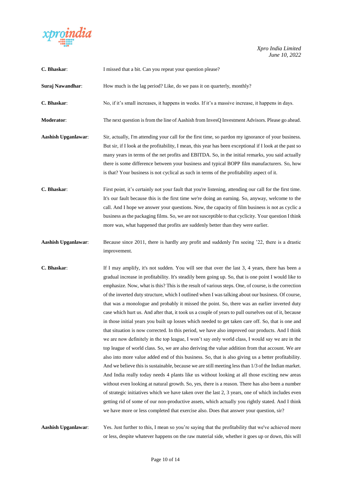

| C. Bhaskar:                | I missed that a bit. Can you repeat your question please?                                                                                                                                                                                                                                                                                                                                                                                                                                                                                                                                                                                                                                                                                                                                                                                                                                                                                                                                                                                                                                                                                                                                                                                                                                                                                                                                                                                                                                                                                                                                                                                                                                                                                                                  |
|----------------------------|----------------------------------------------------------------------------------------------------------------------------------------------------------------------------------------------------------------------------------------------------------------------------------------------------------------------------------------------------------------------------------------------------------------------------------------------------------------------------------------------------------------------------------------------------------------------------------------------------------------------------------------------------------------------------------------------------------------------------------------------------------------------------------------------------------------------------------------------------------------------------------------------------------------------------------------------------------------------------------------------------------------------------------------------------------------------------------------------------------------------------------------------------------------------------------------------------------------------------------------------------------------------------------------------------------------------------------------------------------------------------------------------------------------------------------------------------------------------------------------------------------------------------------------------------------------------------------------------------------------------------------------------------------------------------------------------------------------------------------------------------------------------------|
| Suraj Nawandhar:           | How much is the lag period? Like, do we pass it on quarterly, monthly?                                                                                                                                                                                                                                                                                                                                                                                                                                                                                                                                                                                                                                                                                                                                                                                                                                                                                                                                                                                                                                                                                                                                                                                                                                                                                                                                                                                                                                                                                                                                                                                                                                                                                                     |
| C. Bhaskar:                | No, if it's small increases, it happens in weeks. If it's a massive increase, it happens in days.                                                                                                                                                                                                                                                                                                                                                                                                                                                                                                                                                                                                                                                                                                                                                                                                                                                                                                                                                                                                                                                                                                                                                                                                                                                                                                                                                                                                                                                                                                                                                                                                                                                                          |
| Moderator:                 | The next question is from the line of Aashish from InvesQ Investment Advisors. Please go ahead.                                                                                                                                                                                                                                                                                                                                                                                                                                                                                                                                                                                                                                                                                                                                                                                                                                                                                                                                                                                                                                                                                                                                                                                                                                                                                                                                                                                                                                                                                                                                                                                                                                                                            |
| <b>Aashish Upganlawar:</b> | Sir, actually, I'm attending your call for the first time, so pardon my ignorance of your business.<br>But sir, if I look at the profitability, I mean, this year has been exceptional if I look at the past so<br>many years in terms of the net profits and EBITDA. So, in the initial remarks, you said actually<br>there is some difference between your business and typical BOPP film manufacturers. So, how<br>is that? Your business is not cyclical as such in terms of the profitability aspect of it.                                                                                                                                                                                                                                                                                                                                                                                                                                                                                                                                                                                                                                                                                                                                                                                                                                                                                                                                                                                                                                                                                                                                                                                                                                                           |
| C. Bhaskar:                | First point, it's certainly not your fault that you're listening, attending our call for the first time.<br>It's our fault because this is the first time we're doing an earning. So, anyway, welcome to the<br>call. And I hope we answer your questions. Now, the capacity of film business is not as cyclic a<br>business as the packaging films. So, we are not susceptible to that cyclicity. Your question I think<br>more was, what happened that profits are suddenly better than they were earlier.                                                                                                                                                                                                                                                                                                                                                                                                                                                                                                                                                                                                                                                                                                                                                                                                                                                                                                                                                                                                                                                                                                                                                                                                                                                               |
| <b>Aashish Upganlawar:</b> | Because since 2011, there is hardly any profit and suddenly I'm seeing '22, there is a drastic<br>improvement.                                                                                                                                                                                                                                                                                                                                                                                                                                                                                                                                                                                                                                                                                                                                                                                                                                                                                                                                                                                                                                                                                                                                                                                                                                                                                                                                                                                                                                                                                                                                                                                                                                                             |
| C. Bhaskar:                | If I may amplify, it's not sudden. You will see that over the last 3, 4 years, there has been a<br>gradual increase in profitability. It's steadily been going up. So, that is one point I would like to<br>emphasize. Now, what is this? This is the result of various steps. One, of course, is the correction<br>of the inverted duty structure, which I outlined when I was talking about our business. Of course,<br>that was a monologue and probably it missed the point. So, there was an earlier inverted duty<br>case which hurt us. And after that, it took us a couple of years to pull ourselves out of it, because<br>in those initial years you built up losses which needed to get taken care off. So, that is one and<br>that situation is now corrected. In this period, we have also improved our products. And I think<br>we are now definitely in the top league, I won't say only world class, I would say we are in the<br>top league of world class. So, we are also deriving the value addition from that account. We are<br>also into more value added end of this business. So, that is also giving us a better profitability.<br>And we believe this is sustainable, because we are still meeting less than 1/3 of the Indian market.<br>And India really today needs 4 plants like us without looking at all those exciting new areas<br>without even looking at natural growth. So, yes, there is a reason. There has also been a number<br>of strategic initiatives which we have taken over the last 2, 3 years, one of which includes even<br>getting rid of some of our non-productive assets, which actually you rightly stated. And I think<br>we have more or less completed that exercise also. Does that answer your question, sir? |
| Aashish Upganlawar:        | Yes. Just further to this, I mean so you're saying that the profitability that we've achieved more<br>or less, despite whatever happens on the raw material side, whether it goes up or down, this will                                                                                                                                                                                                                                                                                                                                                                                                                                                                                                                                                                                                                                                                                                                                                                                                                                                                                                                                                                                                                                                                                                                                                                                                                                                                                                                                                                                                                                                                                                                                                                    |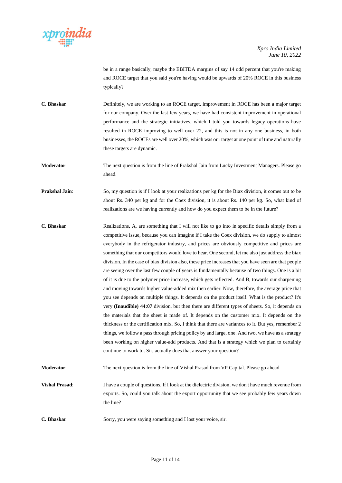

be in a range basically, maybe the EBITDA margins of say 14 odd percent that you're making and ROCE target that you said you're having would be upwards of 20% ROCE in this business typically?

**C. Bhaskar**: Definitely, we are working to an ROCE target, improvement in ROCE has been a major target for our company. Over the last few years, we have had consistent improvement in operational performance and the strategic initiatives, which I told you towards legacy operations have resulted in ROCE improving to well over 22, and this is not in any one business, in both businesses, the ROCEs are well over 20%, which was our target at one point of time and naturally these targets are dynamic.

**Moderator**: The next question is from the line of Prakshal Jain from Lucky Investment Managers. Please go ahead.

**Prakshal Jain**: So, my question is if I look at your realizations per kg for the Biax division, it comes out to be about Rs. 340 per kg and for the Coex division, it is about Rs. 140 per kg. So, what kind of realizations are we having currently and how do you expect them to be in the future?

**C. Bhaskar**: Realizations, A, are something that I will not like to go into in specific details simply from a competitive issue, because you can imagine if I take the Coex division, we do supply to almost everybody in the refrigerator industry, and prices are obviously competitive and prices are something that our competitors would love to hear. One second, let me also just address the biax division. In the case of biax division also, these price increases that you have seen are that people are seeing over the last few couple of years is fundamentally because of two things. One is a bit of it is due to the polymer price increase, which gets reflected. And B, towards our sharpening and moving towards higher value-added mix then earlier. Now, therefore, the average price that you see depends on multiple things. It depends on the product itself. What is the product? It's very **(Inaudible) 44:07** division, but then there are different types of sheets. So, it depends on the materials that the sheet is made of. It depends on the customer mix. It depends on the thickness or the certification mix. So, I think that there are variances to it. But yes, remember 2 things, we follow a pass through pricing policy by and large, one. And two, we have as a strategy been working on higher value-add products. And that is a strategy which we plan to certainly continue to work to. Sir, actually does that answer your question?

**Moderator**: The next question is from the line of Vishal Prasad from VP Capital. Please go ahead.

**Vishal Prasad:** I have a couple of questions. If I look at the dielectric division, we don't have much revenue from exports. So, could you talk about the export opportunity that we see probably few years down the line?

**C. Bhaskar:** Sorry, you were saying something and I lost your voice, sir.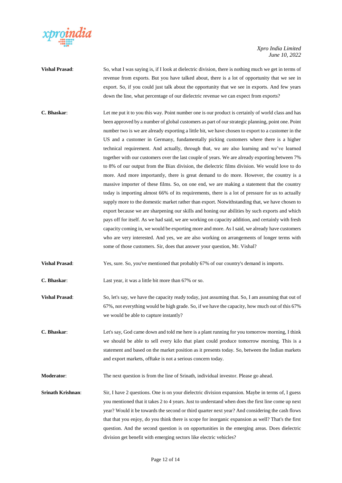

- **Vishal Prasad**: So, what I was saying is, if I look at dielectric division, there is nothing much we get in terms of revenue from exports. But you have talked about, there is a lot of opportunity that we see in export. So, if you could just talk about the opportunity that we see in exports. And few years down the line, what percentage of our dielectric revenue we can expect from exports?
- **C. Bhaskar**: Let me put it to you this way. Point number one is our product is certainly of world class and has been approved by a number of global customers as part of our strategic planning, point one. Point number two is we are already exporting a little bit, we have chosen to export to a customer in the US and a customer in Germany, fundamentally picking customers where there is a higher technical requirement. And actually, through that, we are also learning and we've learned together with our customers over the last couple of years. We are already exporting between 7% to 8% of our output from the Biax division, the dielectric films division. We would love to do more. And more importantly, there is great demand to do more. However, the country is a massive importer of these films. So, on one end, we are making a statement that the country today is importing almost 66% of its requirements, there is a lot of pressure for us to actually supply more to the domestic market rather than export. Notwithstanding that, we have chosen to export because we are sharpening our skills and honing our abilities by such exports and which pays off for itself. As we had said, we are working on capacity addition, and certainly with fresh capacity coming in, we would be exporting more and more. As I said, we already have customers who are very interested. And yes, we are also working on arrangements of longer terms with some of those customers. Sir, does that answer your question, Mr. Vishal?
- **Vishal Prasad:** Yes, sure. So, you've mentioned that probably 67% of our country's demand is imports.
- **C. Bhaskar**: Last year, it was a little bit more than 67% or so.
- **Vishal Prasad:** So, let's say, we have the capacity ready today, just assuming that. So, I am assuming that out of 67%, not everything would be high grade. So, if we have the capacity, how much out of this 67% we would be able to capture instantly?
- **C. Bhaskar**: Let's say, God came down and told me here is a plant running for you tomorrow morning, I think we should be able to sell every kilo that plant could produce tomorrow morning. This is a statement and based on the market position as it presents today. So, between the Indian markets and export markets, offtake is not a serious concern today.
- **Moderator:** The next question is from the line of Srinath, individual investor. Please go ahead.
- **Srinath Krishnan:** Sir, I have 2 questions. One is on your dielectric division expansion. Maybe in terms of, I guess you mentioned that it takes 2 to 4 years. Just to understand when does the first line come up next year? Would it be towards the second or third quarter next year? And considering the cash flows that that you enjoy, do you think there is scope for inorganic expansion as well? That's the first question. And the second question is on opportunities in the emerging areas. Does dielectric division get benefit with emerging sectors like electric vehicles?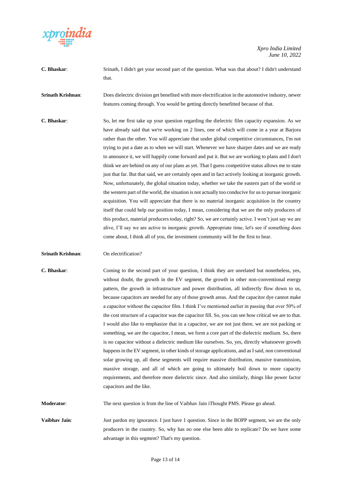

**C. Bhaskar**: Srinath, I didn't get your second part of the question. What was that about? I didn't understand that.

**Srinath Krishnan**: Does dielectric division get benefited with more electrification in the automotive industry, newer features coming through. You would be getting directly benefitted because of that.

**C. Bhaskar**: So, let me first take up your question regarding the dielectric film capacity expansion. As we have already said that we're working on 2 lines, one of which will come in a year at Barjora rather than the other. You will appreciate that under global competitive circumstances, I'm not trying to put a date as to when we will start. Whenever we have sharper dates and we are ready to announce it, we will happily come forward and put it. But we are working to plans and I don't think we are behind on any of our plans as yet. That I guess competitive status allows me to state just that far. But that said, we are certainly open and in fact actively looking at inorganic growth. Now, unfortunately, the global situation today, whether we take the eastern part of the world or the western part of the world, the situation is not actually too conducive for us to pursue inorganic acquisition. You will appreciate that there is no material inorganic acquisition in the country itself that could help our position today, I mean, considering that we are the only producers of this product, material producers today, right? So, we are certainly active. I won't just say we are alive, I'll say we are active to inorganic growth. Appropriate time, let's see if something does come about, I think all of you, the investment community will be the first to hear.

## **Srinath Krishnan:** On electrification?

**C. Bhaskar**: Coming to the second part of your question, I think they are unrelated but nonetheless, yes, without doubt, the growth in the EV segment, the growth in other non-conventional energy pattern, the growth in infrastructure and power distribution, all indirectly flow down to us, because capacitors are needed for any of those growth areas. And the capacitor dye cannot make a capacitor without the capacitor film. I think I've mentioned earlier in passing that over 50% of the cost structure of a capacitor was the capacitor fill. So, you can see how critical we are to that. I would also like to emphasize that in a capacitor, we are not just there, we are not packing or something, we are the capacitor, I mean, we form a core part of the dielectric medium. So, there is no capacitor without a dielectric medium like ourselves. So, yes, directly whatsoever growth happens in the EV segment, in other kinds of storage applications, and as I said, non conventional solar growing up, all these segments will require massive distribution, massive transmission, massive storage, and all of which are going to ultimately boil down to more capacity requirements, and therefore more dielectric since. And also similarly, things like power factor capacitors and the like.

**Moderator:** The next question is from the line of Vaibhav Jain iThought PMS. Please go ahead.

**Vaibhav Jain**: Just pardon my ignorance. I just have 1 question. Since in the BOPP segment, we are the only producers in the country. So, why has no one else been able to replicate? Do we have some advantage in this segment? That's my question.